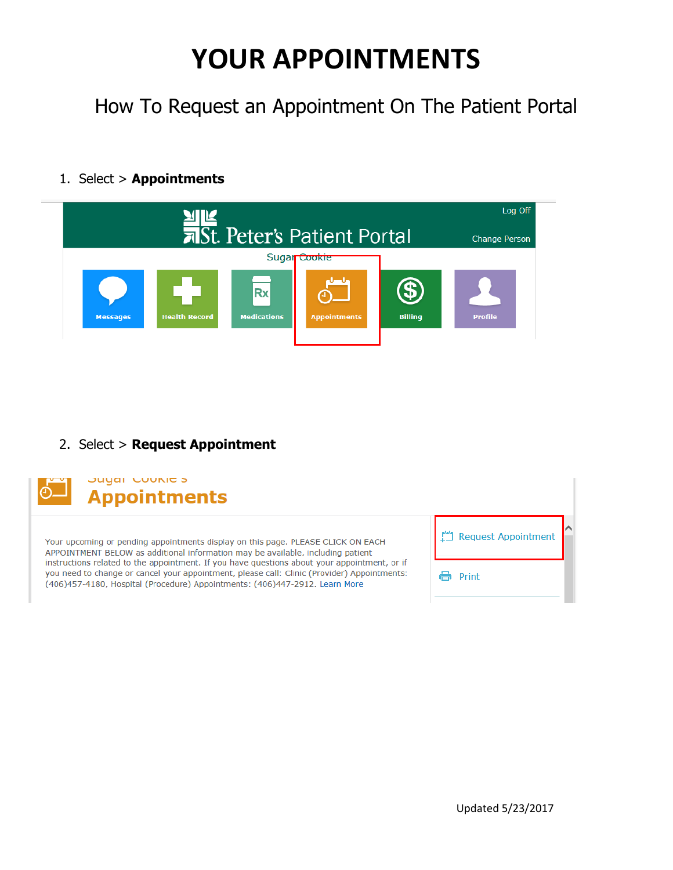## **YOUR APPOINTMENTS**

How To Request an Appointment On The Patient Portal

## 1. Select > **Appointments**



## 2. Select > **Request Appointment**



Juyai Cuunicis **Appointments** 

Your upcoming or pending appointments display on this page. PLEASE CLICK ON EACH APPOINTMENT BELOW as additional information may be available, including patient instructions related to the appointment. If you have questions about your appointment, or if you need to change or cancel your appointment, please call: Clinic (Provider) Appointments: (406)457-4180, Hospital (Procedure) Appointments: (406)447-2912. Learn More

Request Appointment <del>合</del> Print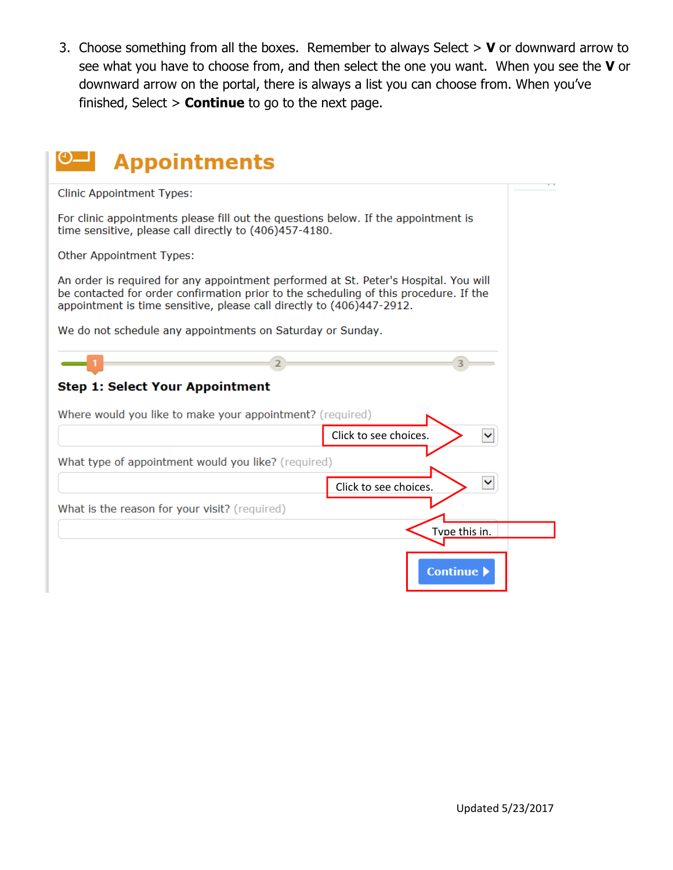3. Choose something from all the boxes. Remember to always Select > **V** or downward arrow to see what you have to choose from, and then select the one you want. When you see the **V** or downward arrow on the portal, there is always a list you can choose from. When you've finished, Select > **Continue** to go to the next page.

| <b>Appointments</b>                                                                                                                                                                                                                                    |
|--------------------------------------------------------------------------------------------------------------------------------------------------------------------------------------------------------------------------------------------------------|
| <b>Clinic Appointment Types:</b>                                                                                                                                                                                                                       |
| For clinic appointments please fill out the questions below. If the appointment is<br>time sensitive, please call directly to (406)457-4180.                                                                                                           |
| Other Appointment Types:                                                                                                                                                                                                                               |
| An order is required for any appointment performed at St. Peter's Hospital. You will<br>be contacted for order confirmation prior to the scheduling of this procedure. If the<br>appointment is time sensitive, please call directly to (406)447-2912. |
| We do not schedule any appointments on Saturday or Sunday.                                                                                                                                                                                             |
|                                                                                                                                                                                                                                                        |
| <b>Step 1: Select Your Appointment</b>                                                                                                                                                                                                                 |
| Where would you like to make your appointment? (required)                                                                                                                                                                                              |
| Click to see choices.                                                                                                                                                                                                                                  |
| What type of appointment would you like? (required)                                                                                                                                                                                                    |
| Click to see choices.                                                                                                                                                                                                                                  |
| What is the reason for your visit? (required)                                                                                                                                                                                                          |
| Tvne this in.                                                                                                                                                                                                                                          |
| <b>Continue</b> )                                                                                                                                                                                                                                      |